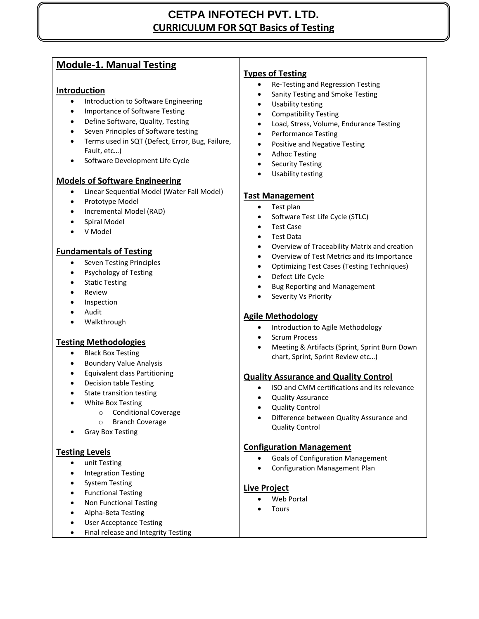## **CETPA INFOTECH PVT. LTD. CURRICULUM FOR SQT Basics of Testing**

## **Module-1. Manual Testing**

## **Introduction**

- **•** Introduction to Software Engineering
- Importance of Software Testing
- Define Software, Quality, Testing
- Seven Principles of Software testing
- Terms used in SQT (Defect, Error, Bug, Failure, Fault, etc…)
- Software Development Life Cycle

## **Models of Software Engineering**

- Linear Sequential Model (Water Fall Model)
- Prototype Model
- Incremental Model (RAD)
- Spiral Model
- V Model

## **Fundamentals of Testing**

- Seven Testing Principles
- Psychology of Testing
- Static Testing
- Review
- Inspection
- Audit
- Walkthrough

## **Testing Methodologies**

- Black Box Testing
- Boundary Value Analysis
- Equivalent class Partitioning
- Decision table Testing
- State transition testing
- White Box Testing
	- o Conditional Coverage
	- o Branch Coverage
	- Gray Box Testing

## **Testing Levels**

- unit Testing
- Integration Testing
- System Testing
- **•** Functional Testing
- Non Functional Testing
- Alpha-Beta Testing
- User Acceptance Testing
- Final release and Integrity Testing

## **Types of Testing**

- Re-Testing and Regression Testing
- Sanity Testing and Smoke Testing
- Usability testing
- Compatibility Testing
- Load, Stress, Volume, Endurance Testing
- Performance Testing
- Positive and Negative Testing
- Adhoc Testing
- Security Testing
- Usability testing

## **Tast Management**

- Test plan
- Software Test Life Cycle (STLC)
- Test Case
- Test Data
- Overview of Traceability Matrix and creation
- Overview of Test Metrics and its Importance
- Optimizing Test Cases (Testing Techniques)
- Defect Life Cycle
- Bug Reporting and Management
- Severity Vs Priority

## **Agile Methodology**

- Introduction to Agile Methodology
- Scrum Process
- Meeting & Artifacts (Sprint, Sprint Burn Down chart, Sprint, Sprint Review etc…)

## **Quality Assurance and Quality Control**

- ISO and CMM certifications and its relevance
- Quality Assurance
- Quality Control
- Difference between Quality Assurance and Quality Control

## **Configuration Management**

- Goals of Configuration Management
- Configuration Management Plan

## **Live Project**

- Web Portal
- **Tours**